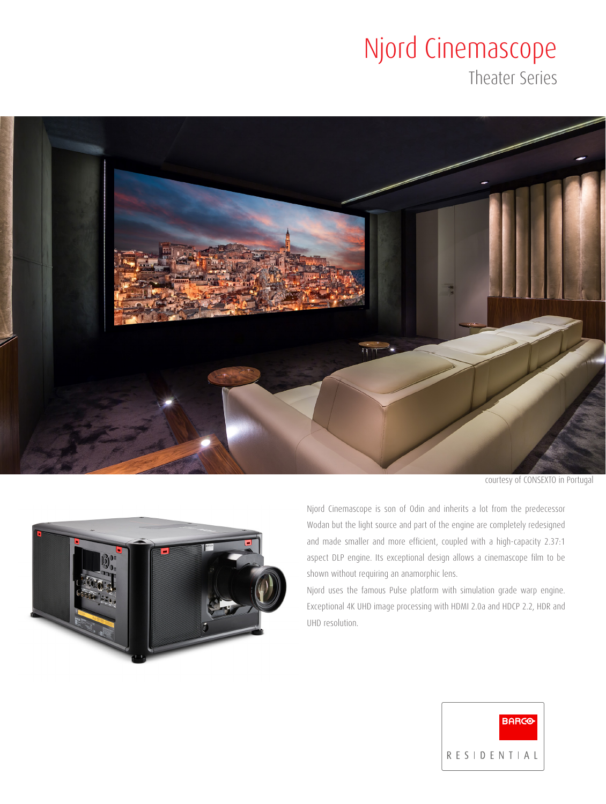# Njord Cinemascope

Theater Series



courtesy of CONSEXTO in Portugal



Njord Cinemascope is son of Odin and inherits a lot from the predecessor Wodan but the light source and part of the engine are completely redesigned and made smaller and more efficient, coupled with a high-capacity 2.37:1 aspect DLP engine. Its exceptional design allows a cinemascope film to be shown without requiring an anamorphic lens.

Njord uses the famous Pulse platform with simulation grade warp engine. Exceptional 4K UHD image processing with HDMI 2.0a and HDCP 2.2, HDR and UHD resolution.